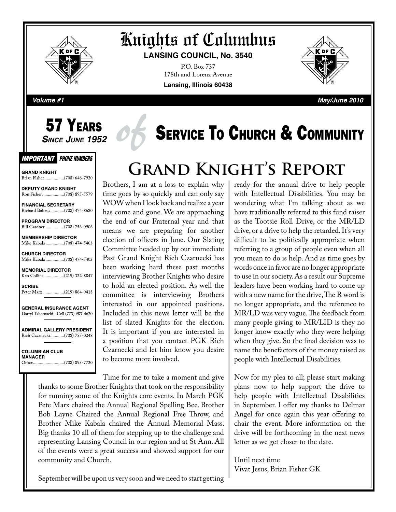

# Knights of Columbus

**LANSING COUNCIL, No. 3540**

P.O. Box 737 178th and Lorenz Avenue **Lansing, Illinois 60438**



**Volume #1 May/June 2010**

# **57 YEARS**<br>Since June 1952

#### **IMPORTANT PHONE NUMBERS**

**GRAND KNIGHT** Brian Fisher.................(708) 646-7920

**DEPUTY GRAND KNIGHT** 

**FINANCIAL SECRETARY** Richard Baltrus.............(708) 474-8680

PROGRAM DIRECTOR Bill Gardner..................(708) 756-0906

**MEMBERSHIP DIRECTOR** Mike Kabala .................(708) 474-5403

**CHURCH DIRECTOR** Mike Kabala ................(708) 474-5403

**MEMORIAL DIRECTOR** Ken Collins.................(219) 322-8847

**SCRIBE** Peter Marx....................(219) 864-0418

**GENERAL INSURANCE AGENT** Darryl Tabernacki... Cell (773) 983-4620

**ADMIRAL GALLERY PRESIDENT** Rich Czarnecki.............(708) 755-0248

**COLUMBIAN CLUB MANAGER** 

# **SERVICE TO CHURCH & COMMUNITY**

# **Grand Knight's Report**

Brothers, I am at a loss to explain why time goes by so quickly and can only say WOW when I look back and realize a year has come and gone. We are approaching the end of our Fraternal year and that means we are preparing for another election of officers in June. Our Slating Committee headed up by our immediate Past Grand Knight Rich Czarnecki has been working hard these past months interviewing Brother Knights who desire to hold an elected position. As well the committee is interviewing Brothers interested in our appointed positions. Included in this news letter will be the list of slated Knights for the election. It is important if you are interested in a position that you contact PGK Rich Czarnecki and let him know you desire to become more involved.

Time for me to take a moment and give thanks to some Brother Knights that took on the responsibility for running some of the Knights core events. In March PGK Pete Marx chaired the Annual Regional Spelling Bee. Brother Bob Layne Chaired the Annual Regional Free Throw, and Brother Mike Kabala chaired the Annual Memorial Mass. Big thanks 10 all of them for stepping up to the challenge and representing Lansing Council in our region and at St Ann. All of the events were a great success and showed support for our community and Church.

ready for the annual drive to help people with Intellectual Disabilities. You may be wondering what I'm talking about as we have traditionally referred to this fund raiser as the Tootsie Roll Drive, or the MR/LD drive, or a drive to help the retarded. It's very difficult to be politically appropriate when referring to a group of people even when all you mean to do is help. And as time goes by words once in favor are no longer appropriate to use in our society. As a result our Supreme leaders have been working hard to come up with a new name for the drive, The R word is no longer appropriate, and the reference to MR/LD was very vague. The feedback from many people giving to MR/LID is they no longer know exactly who they were helping when they give. So the final decision was to name the benefactors of the money raised as people with Intellectual Disabilities.

Now for my plea to all; please start making plans now to help support the drive to help people with Intellectual Disabilities in September. I offer my thanks to Delmar Angel for once again this year offering to chair the event. More information on the drive will be forthcoming in the next news letter as we get closer to the date.

Until next time Vivat Jesus, Brian Fisher GK

September will be upon us very soon and we need to start getting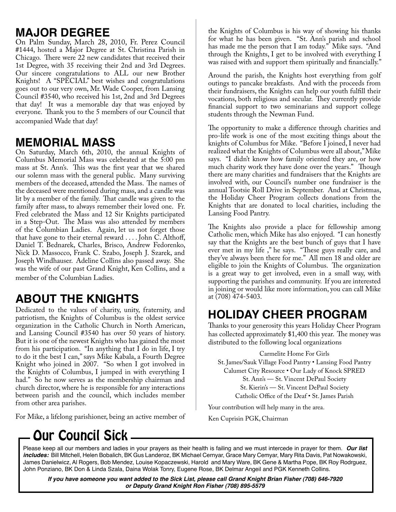### **MAJOR DEGREE**

On Palm Sunday, March 28, 2010, Fr. Perez Council #1444, hosted a Major Degree at St. Christina Parish in Chicago. There were 22 new candidates that received their 1st Degree, with 35 receiving their 2nd and 3rd Degrees. Our sincere congratulations to ALL our new Brother Knights! A "SPECIAL" best wishes and congratulations goes out to our very own, Mr. Wade Cooper, from Lansing Council #3540, who received his 1st, 2nd and 3rd Degrees that day! It was a memorable day that was enjoyed by everyone. Thank you to the 5 members of our Council that accompanied Wade that day!

### **MEMORIAL MASS**

On Saturday, March 6th, 2010, the annual Knights of Columbus Memorial Mass was celebrated at the 5:00 pm mass at St. Ann's. This was the first year that we shared our solemn mass with the general public. Many surviving members of the deceased, attended the Mass. The names of the deceased were mentioned during mass, and a candle was lit by a member of the family. That candle was given to the family after mass, to always remember their loved one. Fr. Fred celebrated the Mass and 12 Sir Knights participated in a Step-Out. The Mass was also attended by members of the Columbian Ladies. Again, let us not forget those that have gone to their eternal reward . . . . John C. Althoff, Daniel T. Bednarek, Charles, Brisco, Andrew Fedorenko, Nick D. Massocco, Frank C. Szabo, Joseph J. Szarek, and Joseph Windhauser. Adeline Collins also passed away. She was the wife of our past Grand Knight, Ken Collins, and a member of the Columbian Ladies.

# **ABOUT THE KNIGHTS**

Dedicated to the values of charity, unity, fraternity, and patriotism, the Knights of Columbus is the oldest service organization in the Catholic Church in North American, and Lansing Council #3540 has over 50 years of history. But it is one of the newest Knights who has gained the most from his participation. "In anything that  $\overline{I}$  do in life,  $\overline{I}$  try to do it the best I can," says Mike Kabala, a Fourth Degree Knight who joined in 2007. "So when I got involved in the Knights of Columbus, I jumped in with everything I had." So he now serves as the membership chairman and church director, where he is responsible for any interactions between parish and the council, which includes member from other area parishes.

For Mike, a lifelong parishioner, being an active member of

the Knights of Columbus is his way of showing his thanks for what he has been given. "St. Ann's parish and school has made me the person that I am today." Mike says. "And through the Knights, I get to be involved with everything I was raised with and support them spiritually and financially."

Around the parish, the Knights host everything from golf outings to pancake breakfasts. And with the proceeds from their fundraisers, the Knights can help our youth fulfill their vocations, both religious and secular. They currently provide financial support to two seminarians and support college students through the Newman Fund.

The opportunity to make a difference through charities and pro-life work is one of the most exciting things about the knights of Columbus for Mike. "Before I joined, I never had realized what the Knights of Columbus were all about," Mike says. "I didn't know how family oriented they are, or how much charity work they have done over the years." Though there are many charities and fundraisers that the Knights are involved with, our Council's number one fundraiser is the annual Tootsie Roll Drive in September. And at Christmas, the Holiday Cheer Program collects donations from the Knights that are donated to local charities, including the Lansing Food Pantry.

The Knights also provide a place for fellowship among Catholic men, which Mike has also enjoyed. "I can honestly say that the Knights are the best bunch of guys that I have ever met in my life ," he says. "These guys really care, and they've always been there for me." All men 18 and older are eligible to join the Knights of Columbus. The organization is a great way to get involved, even in a small way, with supporting the parishes and community. If you are interested in joining or would like more information, you can call Mike at (708) 474-5403.

# **HOLIDAY CHEER PROGRAM**

Thanks to your generosity this years Holiday Cheer Program has collected approximately \$1,400 this year. The money was distributed to the following local organizations

Carmelite Home For Girls St. James/Sauk Village Food Pantry • Lansing Food Pantry Calumet City Resource • Our Lady of Knock SPRED St. Ann's — St. Vincent DePaul Society St. Kierin's — St. Vincent DePaul Society Catholic Office of the Deaf • St. James Parish

Your contribution will help many in the area.

Ken Cuprisin PGK, Chairman

# **Our Council Sick.**

Please keep all our members and ladies in your prayers as their health is failing and we must intercede in prayer for them. **Our list includes:** Bill Mitchell, Helen Bobalich, BK Gus Landeroz, BK Michael Cernyar, Grace Mary Cemyar, Mary Rita Davis, Pat Nowakowski, James Danielwicz, Al Rogers, Bob Mendez, Louise Kopaczewski, Harold and Mary Ware, BK Gene & Martha Pope, BK Roy Rodrguez, John Ponziano, BK Don & Linda Szala, Daina Wolak Tonry, Eugene Rose, BK Delmar Angeil and PGK Kenneth Collins.

**If you have someone you want added to the Sick List, please call Grand Knight Brian Fisher (708) 646-7920 or Deputy Grand Knight Ron Fisher (708) 895-5579**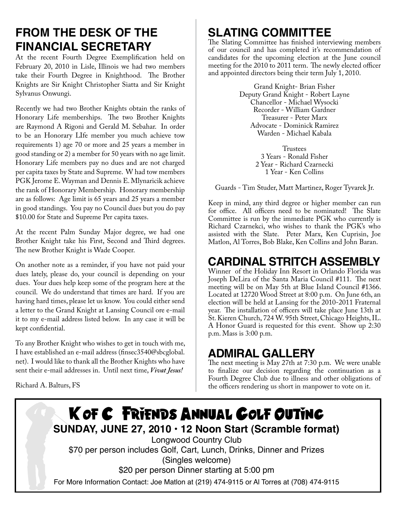## **FROM THE DESK OF THE FINANCIAL SECRETARY**

At the recent Fourth Degree Exemplification held on February 20, 2010 in Lisle, Illinois we had two members take their Fourth Degree in Knighthood. The Brother Knights are Sir Knight Christopher Siatta and Sir Knight Sylvanus Onwungi.

Recently we had two Brother Knights obtain the ranks of Honorary Life memberships. The two Brother Knights are Raymond A Rigoni and Gerald M. Sebahar. In order to be an Honorary LIfe member you much achieve tow requirements 1) age 70 or more and 25 years a member in good standing or 2) a member for 50 years with no age limit. Honorary Life members pay no dues and are not charged per capita taxes by State and Supreme. W had tow members PGK Jerome E. Wayman and Dennis E. Mlynaricik achieve the rank of Honorary Membership. Honorary membership are as follows: Age limit is 65 years and 25 years a member in good standings. You pay no Council dues but you do pay \$10.00 for State and Supreme Per capita taxes.

At the recent Palm Sunday Major degree, we had one Brother Knight take his First, Second and Third degrees. The new Brother Knight is Wade Cooper.

On another note as a reminder, if you have not paid your dues lately, please do, your council is depending on your dues. Your dues help keep some of the program here at the council. We do understand that times are hard. If you are having hard times, please let us know. You could either send a letter to the Grand Knight at Lansing Council ore e-mail it to my e-mail address listed below. In any case it will be kept confidential.

To any Brother Knight who wishes to get in touch with me, I have established an e-mail address (finsec3540@sbcglobal. net). I would like to thank all the Brother Knights who have sent their e-mail addresses in. Until next time, *Vivat Jesus!*

Richard A. Balturs, FS

# **SLATING COMMITTEE**

The Slating Committee has finished interviewing members of our council and has completed it's recommendation of candidates for the upcoming election at the June council meeting for the 2010 to 2011 term. The newly elected officer and appointed directors being their term July 1, 2010.

> Grand Knight- Brian Fisher Deputy Grand Knight - Robert Layne Chancellor - Michael Wysocki Recorder - William Gardner Treasurer - Peter Marx Advocate - Dominick Ramirez Warden - Michael Kabala

> > **Trustees** 3 Years - Ronald Fisher 2 Year - Richard Czarnecki 1 Year - Ken Collins

Guards - Tim Studer, Matt Martinez, Roger Tyvarek Jr.

Keep in mind, any third degree or higher member can run for office. All officers need to be nominated! The Slate Committee is run by the immediate PGK who currently is Richard Czarnekci, who wishes to thank the PGK's who assisted with the Slate. Peter Marx, Ken Cuprisin, Joe Matlon, Al Torres, Bob Blake, Ken Collins and John Baran.

### **CARDINAL STRITCH ASSEMBLY**

Winner of the Holiday Inn Resort in Orlando Florida was Joseph DeLira of the Santa Maria Council #111. The next meeting will be on May 5th at Blue Island Council #1366. Located at 12720 Wood Street at 8:00 p.m. On June 6th, an election will be held at Lansing for the 2010-2011 Fraternal year. The installation of officers will take place June 13th at St. Kieren Church, 724 W. 95th Street, Chicago Heights, IL. A Honor Guard is requested for this event. Show up 2:30 p.m. Mass is 3:00 p.m.

#### **ADMIRAL GALLERY**

The next meeting is May 27th at 7:30 p.m. We were unable to finalize our decision regarding the continuation as a Fourth Degree Club due to illness and other obligations of the officers rendering us short in manpower to vote on it.

### K of C FRIENDS ANNUAL GOLF OUTING **SUNDAY, JUNE 27, 2010 • 12 Noon Start (Scramble format)** Longwood Country Club \$70 per person includes Golf, Cart, Lunch, Drinks, Dinner and Prizes (Singles welcome) \$20 per person Dinner starting at 5:00 pm For More Information Contact: Joe Matlon at (219) 474-9115 or Al Torres at (708) 474-9115